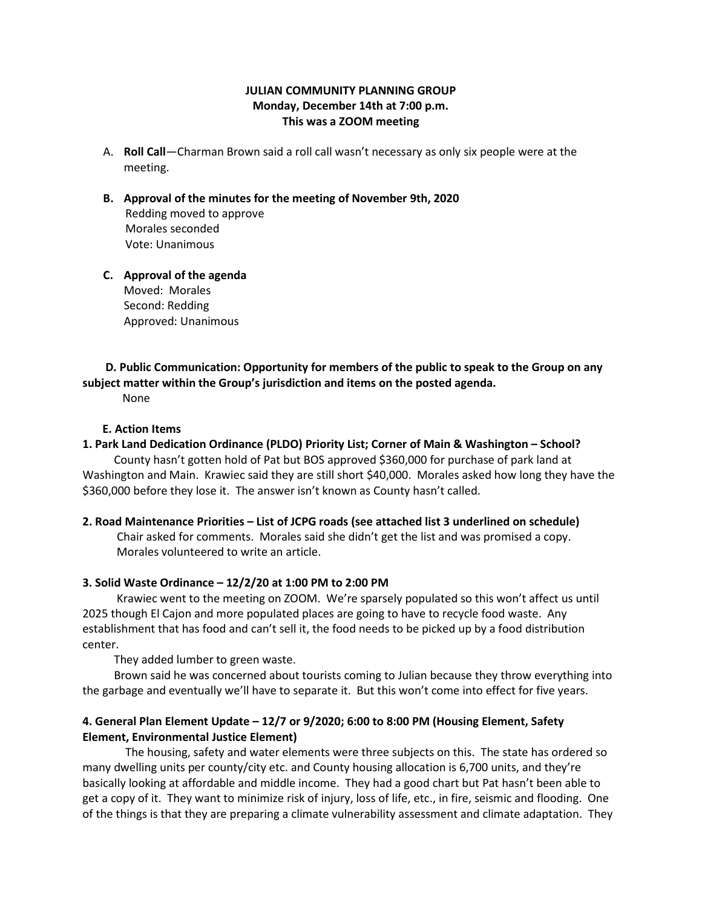# **JULIAN COMMUNITY PLANNING GROUP Monday, December 14th at 7:00 p.m. This was a ZOOM meeting**

- A. **Roll Call**—Charman Brown said a roll call wasn't necessary as only six people were at the meeting.
- **B. Approval of the minutes for the meeting of November 9th, 2020** Redding moved to approve Morales seconded Vote: Unanimous
- **C. Approval of the agenda** Moved: Morales Second: Redding Approved: Unanimous

### **D. Public Communication: Opportunity for members of the public to speak to the Group on any subject matter within the Group's jurisdiction and items on the posted agenda.**

None

## **E. Action Items**

# **1. Park Land Dedication Ordinance (PLDO) Priority List; Corner of Main & Washington – School?**

 County hasn't gotten hold of Pat but BOS approved \$360,000 for purchase of park land at Washington and Main. Krawiec said they are still short \$40,000. Morales asked how long they have the \$360,000 before they lose it. The answer isn't known as County hasn't called.

## **2. Road Maintenance Priorities – List of JCPG roads (see attached list 3 underlined on schedule)**

 Chair asked for comments. Morales said she didn't get the list and was promised a copy. Morales volunteered to write an article.

## **3. Solid Waste Ordinance – 12/2/20 at 1:00 PM to 2:00 PM**

 Krawiec went to the meeting on ZOOM. We're sparsely populated so this won't affect us until 2025 though El Cajon and more populated places are going to have to recycle food waste. Any establishment that has food and can't sell it, the food needs to be picked up by a food distribution center.

They added lumber to green waste.

 Brown said he was concerned about tourists coming to Julian because they throw everything into the garbage and eventually we'll have to separate it. But this won't come into effect for five years.

# **4. General Plan Element Update – 12/7 or 9/2020; 6:00 to 8:00 PM (Housing Element, Safety Element, Environmental Justice Element)**

 The housing, safety and water elements were three subjects on this. The state has ordered so many dwelling units per county/city etc. and County housing allocation is 6,700 units, and they're basically looking at affordable and middle income. They had a good chart but Pat hasn't been able to get a copy of it. They want to minimize risk of injury, loss of life, etc., in fire, seismic and flooding. One of the things is that they are preparing a climate vulnerability assessment and climate adaptation. They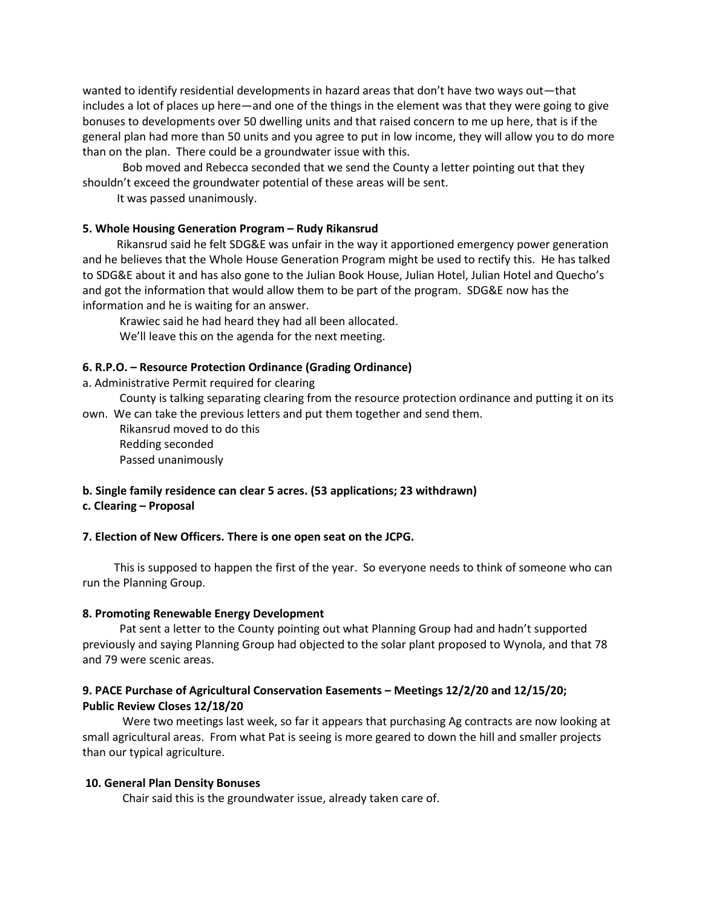wanted to identify residential developments in hazard areas that don't have two ways out—that includes a lot of places up here—and one of the things in the element was that they were going to give bonuses to developments over 50 dwelling units and that raised concern to me up here, that is if the general plan had more than 50 units and you agree to put in low income, they will allow you to do more than on the plan. There could be a groundwater issue with this.

 Bob moved and Rebecca seconded that we send the County a letter pointing out that they shouldn't exceed the groundwater potential of these areas will be sent.

It was passed unanimously.

### **5. Whole Housing Generation Program – Rudy Rikansrud**

 Rikansrud said he felt SDG&E was unfair in the way it apportioned emergency power generation and he believes that the Whole House Generation Program might be used to rectify this. He has talked to SDG&E about it and has also gone to the Julian Book House, Julian Hotel, Julian Hotel and Quecho's and got the information that would allow them to be part of the program. SDG&E now has the information and he is waiting for an answer.

 Krawiec said he had heard they had all been allocated. We'll leave this on the agenda for the next meeting.

### **6. R.P.O. – Resource Protection Ordinance (Grading Ordinance)**

a. Administrative Permit required for clearing

 County is talking separating clearing from the resource protection ordinance and putting it on its own. We can take the previous letters and put them together and send them.

 Rikansrud moved to do this Redding seconded Passed unanimously

## **b. Single family residence can clear 5 acres. (53 applications; 23 withdrawn)**

# **c. Clearing – Proposal**

#### **7. Election of New Officers. There is one open seat on the JCPG.**

 This is supposed to happen the first of the year. So everyone needs to think of someone who can run the Planning Group.

#### **8. Promoting Renewable Energy Development**

 Pat sent a letter to the County pointing out what Planning Group had and hadn't supported previously and saying Planning Group had objected to the solar plant proposed to Wynola, and that 78 and 79 were scenic areas.

# **9. PACE Purchase of Agricultural Conservation Easements – Meetings 12/2/20 and 12/15/20; Public Review Closes 12/18/20**

 Were two meetings last week, so far it appears that purchasing Ag contracts are now looking at small agricultural areas. From what Pat is seeing is more geared to down the hill and smaller projects than our typical agriculture.

### **10. General Plan Density Bonuses**

Chair said this is the groundwater issue, already taken care of.